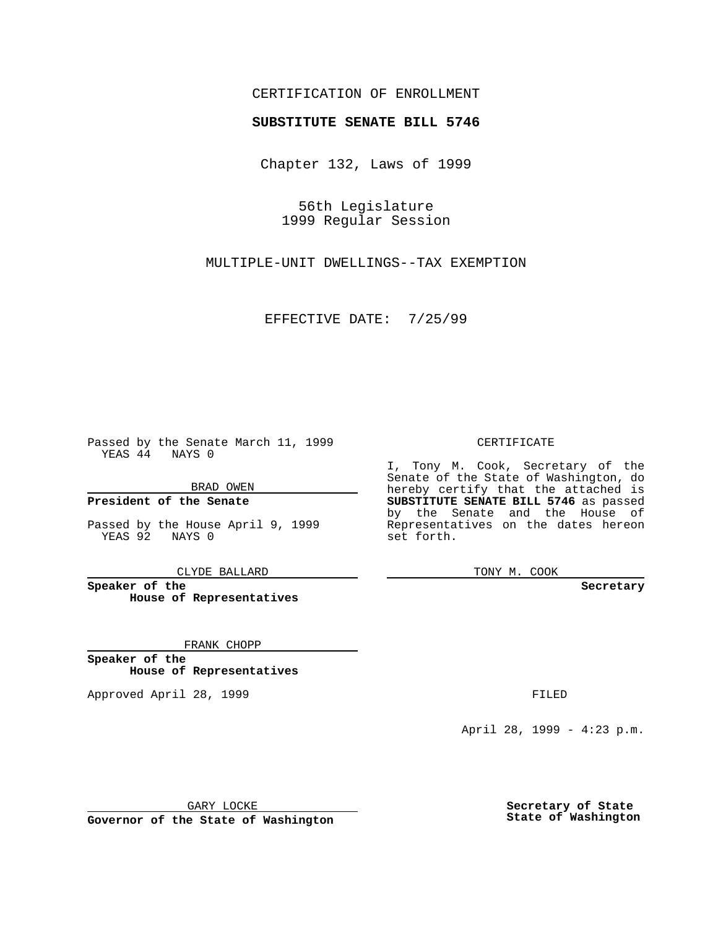### CERTIFICATION OF ENROLLMENT

# **SUBSTITUTE SENATE BILL 5746**

Chapter 132, Laws of 1999

56th Legislature 1999 Regular Session

MULTIPLE-UNIT DWELLINGS--TAX EXEMPTION

EFFECTIVE DATE: 7/25/99

Passed by the Senate March 11, 1999 YEAS 44 NAYS 0

BRAD OWEN

**President of the Senate**

Passed by the House April 9, 1999 YEAS 92 NAYS 0

CLYDE BALLARD

**Speaker of the House of Representatives**

FRANK CHOPP

**Speaker of the House of Representatives**

Approved April 28, 1999 **FILED** 

### CERTIFICATE

I, Tony M. Cook, Secretary of the Senate of the State of Washington, do hereby certify that the attached is **SUBSTITUTE SENATE BILL 5746** as passed by the Senate and the House of Representatives on the dates hereon set forth.

TONY M. COOK

#### **Secretary**

April 28, 1999 - 4:23 p.m.

GARY LOCKE

**Governor of the State of Washington**

**Secretary of State State of Washington**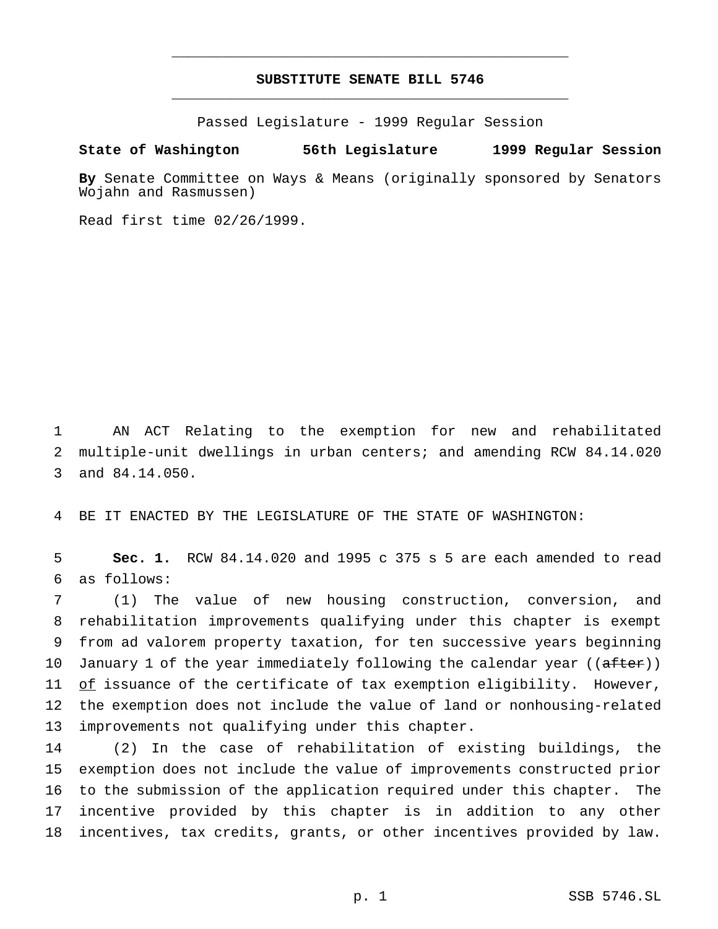## **SUBSTITUTE SENATE BILL 5746** \_\_\_\_\_\_\_\_\_\_\_\_\_\_\_\_\_\_\_\_\_\_\_\_\_\_\_\_\_\_\_\_\_\_\_\_\_\_\_\_\_\_\_\_\_\_\_

\_\_\_\_\_\_\_\_\_\_\_\_\_\_\_\_\_\_\_\_\_\_\_\_\_\_\_\_\_\_\_\_\_\_\_\_\_\_\_\_\_\_\_\_\_\_\_

Passed Legislature - 1999 Regular Session

### **State of Washington 56th Legislature 1999 Regular Session**

**By** Senate Committee on Ways & Means (originally sponsored by Senators Wojahn and Rasmussen)

Read first time 02/26/1999.

 AN ACT Relating to the exemption for new and rehabilitated multiple-unit dwellings in urban centers; and amending RCW 84.14.020 and 84.14.050.

BE IT ENACTED BY THE LEGISLATURE OF THE STATE OF WASHINGTON:

 **Sec. 1.** RCW 84.14.020 and 1995 c 375 s 5 are each amended to read as follows:

 (1) The value of new housing construction, conversion, and rehabilitation improvements qualifying under this chapter is exempt from ad valorem property taxation, for ten successive years beginning 10 January 1 of the year immediately following the calendar year ((after)) of issuance of the certificate of tax exemption eligibility. However, the exemption does not include the value of land or nonhousing-related improvements not qualifying under this chapter.

 (2) In the case of rehabilitation of existing buildings, the exemption does not include the value of improvements constructed prior to the submission of the application required under this chapter. The incentive provided by this chapter is in addition to any other incentives, tax credits, grants, or other incentives provided by law.